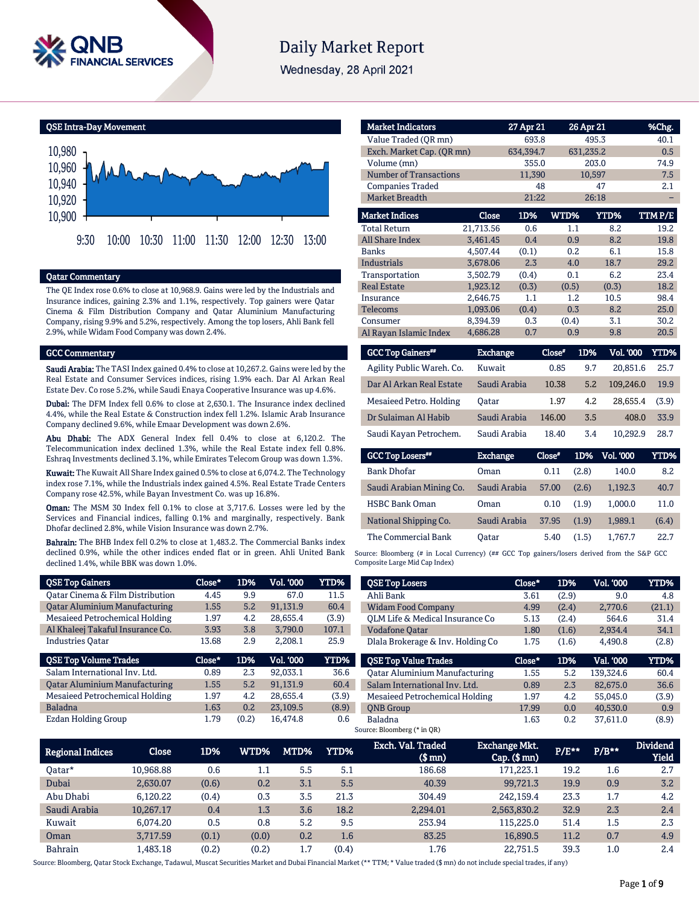

# **Daily Market Report**

Wednesday, 28 April 2021

QSE Intra-Day Movement



### Qatar Commentary

The QE Index rose 0.6% to close at 10,968.9. Gains were led by the Industrials and Insurance indices, gaining 2.3% and 1.1%, respectively. Top gainers were Qatar Cinema & Film Distribution Company and Qatar Aluminium Manufacturing Company, rising 9.9% and 5.2%, respectively. Among the top losers, Ahli Bank fell 2.9%, while Widam Food Company was down 2.4%.

#### GCC Commentary

Saudi Arabia: The TASI Index gained 0.4% to close at 10,267.2. Gains were led by the Real Estate and Consumer Services indices, rising 1.9% each. Dar Al Arkan Real Estate Dev. Co rose 5.2%, while Saudi Enaya Cooperative Insurance was up 4.6%.

Dubai: The DFM Index fell 0.6% to close at 2,630.1. The Insurance index declined 4.4%, while the Real Estate & Construction index fell 1.2%. Islamic Arab Insurance Company declined 9.6%, while Emaar Development was down 2.6%.

Abu Dhabi: The ADX General Index fell 0.4% to close at 6,120.2. The Telecommunication index declined 1.3%, while the Real Estate index fell 0.8%. Eshraq Investments declined 3.1%, while Emirates Telecom Group was down 1.3%.

Kuwait: The Kuwait All Share Index gained 0.5% to close at 6,074.2. The Technology index rose 7.1%, while the Industrials index gained 4.5%. Real Estate Trade Centers Company rose 42.5%, while Bayan Investment Co. was up 16.8%.

Oman: The MSM 30 Index fell 0.1% to close at 3,717.6. Losses were led by the Services and Financial indices, falling 0.1% and marginally, respectively. Bank Dhofar declined 2.8%, while Vision Insurance was down 2.7%.

Bahrain: The BHB Index fell 0.2% to close at 1,483.2. The Commercial Banks index declined 0.9%, while the other indices ended flat or in green. Ahli United Bank declined 1.4%, while BBK was down 1.0%.

| <b>QSE Top Gainers</b>                      | Close* | 1D%   | Vol. '000 | YTD%  |
|---------------------------------------------|--------|-------|-----------|-------|
| <b>Qatar Cinema &amp; Film Distribution</b> | 4.45   | 9.9   | 67.0      | 11.5  |
| <b>Qatar Aluminium Manufacturing</b>        | 1.55   | 5.2   | 91.131.9  | 60.4  |
| Mesaieed Petrochemical Holding              | 1.97   | 4.2   | 28,655.4  | (3.9) |
| Al Khaleej Takaful Insurance Co.            | 3.93   | 3.8   | 3.790.0   | 107.1 |
| <b>Industries Oatar</b>                     | 13.68  | 2.9   | 2,208.1   | 25.9  |
|                                             |        |       |           |       |
| <b>QSE Top Volume Trades</b>                | Close* | 1D%   | Vol. '000 | YTD%  |
| Salam International Inv. Ltd.               | 0.89   | 2.3   | 92.033.1  | 36.6  |
| <b>Oatar Aluminium Manufacturing</b>        | 1.55   | 5.2   | 91.131.9  | 60.4  |
| Mesaieed Petrochemical Holding              | 1.97   | 4.2   | 28.655.4  | (3.9) |
| Baladna                                     | 1.63   | 0.2   | 23.109.5  | (8.9) |
| Ezdan Holding Group                         | 1.79   | (0.2) | 16.474.8  | 0.6   |

| <b>Market Indicators</b>      |           | 27 Apr 21 |       | 26 Apr 21   | %Chg.   |
|-------------------------------|-----------|-----------|-------|-------------|---------|
| Value Traded (OR mn)          |           | 693.8     |       | 495.3       | 40.1    |
| Exch. Market Cap. (QR mn)     |           | 634,394.7 |       | 631,235.2   | 0.5     |
| Volume (mn)                   |           | 355.0     |       | 203.0       | 74.9    |
| <b>Number of Transactions</b> |           | 11,390    |       | 10,597      | 7.5     |
| <b>Companies Traded</b>       |           | 48        |       | 47          | 2.1     |
| <b>Market Breadth</b>         |           | 21:22     |       | 26:18       |         |
| <b>Market Indices</b>         | Close     | 1D%       | WTD%  | <b>YTD%</b> | TTM P/E |
| <b>Total Return</b>           | 21,713.56 | 0.6       | 1.1   | 8.2         | 19.2    |
| All Share Index               | 3,461.45  | 0.4       | 0.9   | 8.2         | 19.8    |
| <b>Banks</b>                  | 4,507.44  | (0.1)     | 0.2   | 6.1         | 15.8    |
| <b>Industrials</b>            | 3,678.06  | 2.3       | 4.0   | 18.7        | 29.2    |
| Transportation                | 3,502.79  | (0.4)     | 0.1   | 6.2         | 23.4    |
| <b>Real Estate</b>            | 1,923.12  | (0.3)     | (0.5) | (0.3)       | 18.2    |
| Insurance                     | 2.646.75  | 1.1       | 1.2   | 10.5        | 98.4    |
| Telecoms                      | 1.093.06  | (0.4)     | 0.3   | 8.2         | 25.0    |
| Consumer                      | 8,394.39  | 0.3       | (0.4) | 3.1         | 30.2    |
| Al Rayan Islamic Index        | 4,686.28  | 0.7       | 0.9   | 9.8         | 20.5    |

| <b>GCC Top Gainers**</b>  | <b>Exchange</b> | Close" | 1D% | <b>Vol. '000</b> | YTD%  |
|---------------------------|-----------------|--------|-----|------------------|-------|
| Agility Public Wareh. Co. | Kuwait          | 0.85   | 9.7 | 20.851.6         | 25.7  |
| Dar Al Arkan Real Estate  | Saudi Arabia    | 10.38  | 5.2 | 109.246.0        | 19.9  |
| Mesaieed Petro. Holding   | Oatar           | 1.97   | 4.2 | 28.655.4         | (3.9) |
| Dr Sulaiman Al Habib      | Saudi Arabia    | 146.00 | 3.5 | 408.0            | 33.9  |
| Saudi Kayan Petrochem.    | Saudi Arabia    | 18.40  | 3.4 | 10.292.9         | 28.7  |

| <b>GCC Top Losers</b> "  | <b>Exchange</b> | Close" | 1D%   | <b>Vol. '000</b> | YTD%  |
|--------------------------|-----------------|--------|-------|------------------|-------|
| <b>Bank Dhofar</b>       | Oman            | 0.11   | (2.8) | 140.0            | 8.2   |
| Saudi Arabian Mining Co. | Saudi Arabia    | 57.00  | (2.6) | 1.192.3          | 40.7  |
| <b>HSBC Bank Oman</b>    | Oman            | 0.10   | (1.9) | 1.000.0          | 11.0  |
| National Shipping Co.    | Saudi Arabia    | 37.95  | (1.9) | 1.989.1          | (6.4) |
| The Commercial Bank      | Oatar           | 5.40   | (1.5) | 1.767.7          | 22.7  |

Source: Bloomberg (# in Local Currency) (## GCC Top gainers/losers derived from the S&P GCC Composite Large Mid Cap Index)

|                                      | Close*        | 1D%   | Vol. '000 | YTD%      |
|--------------------------------------|---------------|-------|-----------|-----------|
| <b>QSE Top Losers</b>                |               |       |           |           |
| Ahli Bank                            | 3.61          | (2.9) | 9.0       | 4.8       |
| <b>Widam Food Company</b>            | 4.99          | (2.4) | 2,770.6   | (21.1)    |
| OLM Life & Medical Insurance Co      | 5.13          | (2.4) | 564.6     | 31.4      |
| <b>Vodafone Qatar</b>                | 1.80          | (1.6) | 2,934.4   | 34.1      |
| Dlala Brokerage & Inv. Holding Co    | 1.75          | (1.6) | 4.490.8   | (2.8)     |
| <b>OSE Top Value Trades</b>          | Close*        | 1D%   | Val. '000 | YTD%      |
| <b>Qatar Aluminium Manufacturing</b> | 1.55          | 5.2   | 139.324.6 | 60.4      |
| Salam International Inv. Ltd.        | 0.89          | 2.3   | 82,675.0  | 36.6      |
| Mesaieed Petrochemical Holding       | 1.97          | 4.2   | 55,045.0  | (3.9)     |
| <b>ONB</b> Group                     | 17.99         | 0.0   | 40.530.0  | 0.9       |
| Baladna                              | 1.63          | 0.2   | 37,611.0  | (8.9)     |
| Source: Bloomberg (* in QR)          |               |       |           |           |
| Eveh Val Trodod                      | Evohongo Mlst |       |           | Dissidand |

| <b>Regional Indices</b> | <b>Close</b> | 1D%   | WTD%  | MTD% | <b>YTD%</b> | Exch. Val. Traded<br>$$$ mn $)$ | <b>Exchange Mkt.</b><br>$Cap.$ $(\$$ mn) | $P/E***$ | $P/B**$ | <b>Dividend</b><br><b>Yield</b> |
|-------------------------|--------------|-------|-------|------|-------------|---------------------------------|------------------------------------------|----------|---------|---------------------------------|
| Oatar*                  | 10.968.88    | 0.6   | 1.1   | 5.5  | 5.1         | 186.68                          | 171.223.1                                | 19.2     | 1.6     | 2.7                             |
| Dubai                   | 2.630.07     | (0.6) | 0.2   | 3.1  | 5.5         | 40.39                           | 99.721.3                                 | 19.9     | 0.9     | 3.2                             |
| Abu Dhabi               | 6.120.22     | (0.4) | 0.3   | 3.5  | 21.3        | 304.49                          | 242.159.4                                | 23.3     | 1.7     | 4.2                             |
| Saudi Arabia            | 10.267.17    | 0.4   | 1.3   | 3.6  | 18.2        | 2.294.01                        | 2,563,830.2                              | 32.9     | 2.3     | 2.4                             |
| Kuwait                  | 6.074.20     | 0.5   | 0.8   | 5.2  | 9.5         | 253.94                          | 115.225.0                                | 51.4     | 1.5     | 2.3                             |
| Oman                    | 3.717.59     | (0.1) | (0.0) | 0.2  | 1.6         | 83.25                           | 16.890.5                                 | 11.2     | 0.7     | 4.9                             |
| <b>Bahrain</b>          | 1.483.18     | (0.2) | (0.2) | 1.7  | (0.4)       | 1.76                            | 22.751.5                                 | 39.3     | $1.0\,$ | 2.4                             |

Source: Bloomberg, Qatar Stock Exchange, Tadawul, Muscat Securities Market and Dubai Financial Market (\*\* TTM; \* Value traded (\$ mn) do not include special trades, if any)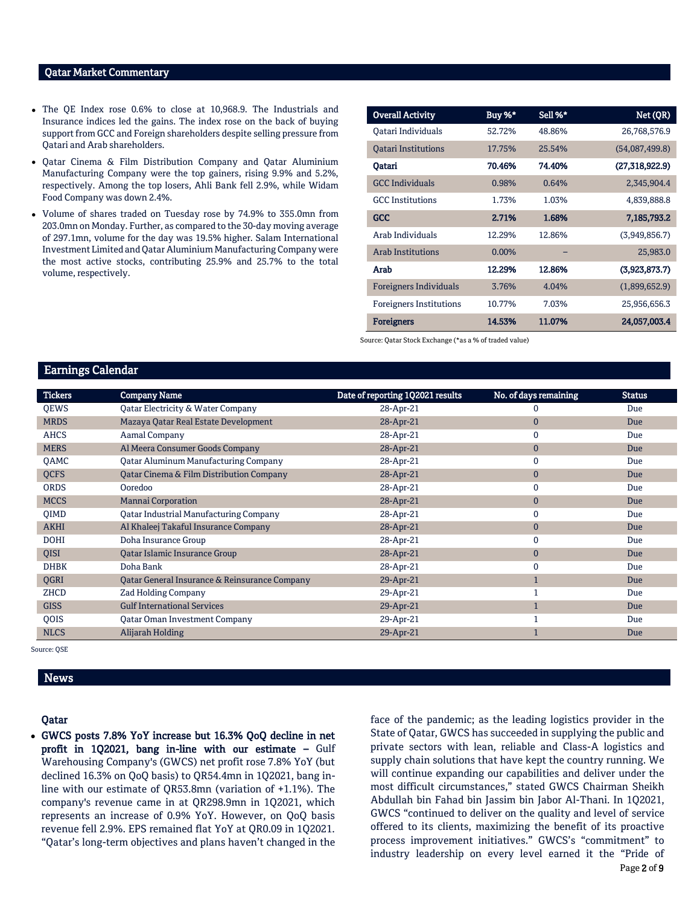#### Qatar Market Commentary

- The QE Index rose 0.6% to close at 10,968.9. The Industrials and Insurance indices led the gains. The index rose on the back of buying support from GCC and Foreign shareholders despite selling pressure from Qatari and Arab shareholders.
- Qatar Cinema & Film Distribution Company and Qatar Aluminium Manufacturing Company were the top gainers, rising 9.9% and 5.2%, respectively. Among the top losers, Ahli Bank fell 2.9%, while Widam Food Company was down 2.4%.
- Volume of shares traded on Tuesday rose by 74.9% to 355.0mn from 203.0mn on Monday. Further, as compared to the 30-day moving average of 297.1mn, volume for the day was 19.5% higher. Salam International Investment Limited and Qatar Aluminium Manufacturing Company were the most active stocks, contributing 25.9% and 25.7% to the total volume, respectively.

| <b>Overall Activity</b>        | Buy %*   | Sell %* | Net (QR)       |
|--------------------------------|----------|---------|----------------|
| Oatari Individuals             | 52.72%   | 48.86%  | 26,768,576.9   |
| <b>Oatari Institutions</b>     | 17.75%   | 25.54%  | (54,087,499.8) |
| Oatari                         | 70.46%   | 74.40%  | (27,318,922.9) |
| <b>GCC</b> Individuals         | 0.98%    | 0.64%   | 2,345,904.4    |
| <b>GCC</b> Institutions        | 1.73%    | 1.03%   | 4,839,888.8    |
| GCC                            | 2.71%    | 1.68%   | 7,185,793.2    |
| Arab Individuals               | 12.29%   | 12.86%  | (3,949,856.7)  |
| <b>Arab Institutions</b>       | $0.00\%$ |         | 25,983.0       |
| Arab                           | 12.29%   | 12.86%  | (3,923,873.7)  |
| <b>Foreigners Individuals</b>  | 3.76%    | 4.04%   | (1,899,652.9)  |
| <b>Foreigners Institutions</b> | 10.77%   | 7.03%   | 25,956,656.3   |
| <b>Foreigners</b>              | 14.53%   | 11.07%  | 24,057,003.4   |

Source: Qatar Stock Exchange (\*as a % of traded value)

# Earnings Calendar

| <b>Tickers</b> | <b>Company Name</b>                           | Date of reporting 1Q2021 results | No. of days remaining | <b>Status</b> |
|----------------|-----------------------------------------------|----------------------------------|-----------------------|---------------|
| QEWS           | Qatar Electricity & Water Company             | 28-Apr-21                        | 0                     | Due           |
| <b>MRDS</b>    | Mazaya Qatar Real Estate Development          | 28-Apr-21                        | $\mathbf{0}$          | Due           |
| <b>AHCS</b>    | Aamal Company                                 | 28-Apr-21                        | 0                     | Due           |
| <b>MERS</b>    | Al Meera Consumer Goods Company               | 28-Apr-21                        | $\mathbf{0}$          | Due           |
| <b>OAMC</b>    | <b>Qatar Aluminum Manufacturing Company</b>   | 28-Apr-21                        | $\mathbf{0}$          | Due           |
| <b>QCFS</b>    | Qatar Cinema & Film Distribution Company      | 28-Apr-21                        | $\mathbf{0}$          | Due           |
| <b>ORDS</b>    | Ooredoo                                       | 28-Apr-21                        | $\mathbf{0}$          | Due           |
| <b>MCCS</b>    | <b>Mannai Corporation</b>                     | 28-Apr-21                        | $\mathbf{0}$          | Due           |
| <b>OIMD</b>    | <b>Qatar Industrial Manufacturing Company</b> | 28-Apr-21                        | $\mathbf 0$           | Due           |
| <b>AKHI</b>    | Al Khaleej Takaful Insurance Company          | 28-Apr-21                        | $\mathbf{0}$          | Due           |
| <b>DOHI</b>    | Doha Insurance Group                          | 28-Apr-21                        | $\mathbf 0$           | Due           |
| QISI           | Qatar Islamic Insurance Group                 | 28-Apr-21                        | $\mathbf{0}$          | Due           |
| <b>DHBK</b>    | Doha Bank                                     | 28-Apr-21                        | $\mathbf{0}$          | Due           |
| <b>OGRI</b>    | Qatar General Insurance & Reinsurance Company | 29-Apr-21                        | $\mathbf{1}$          | Due           |
| ZHCD           | Zad Holding Company                           | 29-Apr-21                        | $\mathbf{1}$          | Due           |
| <b>GISS</b>    | <b>Gulf International Services</b>            | 29-Apr-21                        | 1                     | Due           |
| <b>OOIS</b>    | <b>Qatar Oman Investment Company</b>          | 29-Apr-21                        |                       | Due           |
| <b>NLCS</b>    | Alijarah Holding                              | 29-Apr-21                        |                       | Due           |

Source: QSE

#### News

# Qatar

 GWCS posts 7.8% YoY increase but 16.3% QoQ decline in net profit in 1Q2021, bang in-line with our estimate – Gulf Warehousing Company's (GWCS) net profit rose 7.8% YoY (but declined 16.3% on QoQ basis) to QR54.4mn in 1Q2021, bang inline with our estimate of QR53.8mn (variation of +1.1%). The company's revenue came in at QR298.9mn in 1Q2021, which represents an increase of 0.9% YoY. However, on QoQ basis revenue fell 2.9%. EPS remained flat YoY at QR0.09 in 1Q2021. "Qatar's long-term objectives and plans haven't changed in the

Page 2 of 9 face of the pandemic; as the leading logistics provider in the State of Qatar, GWCS has succeeded in supplying the public and private sectors with lean, reliable and Class-A logistics and supply chain solutions that have kept the country running. We will continue expanding our capabilities and deliver under the most difficult circumstances," stated GWCS Chairman Sheikh Abdullah bin Fahad bin Jassim bin Jabor Al-Thani. In 1Q2021, GWCS "continued to deliver on the quality and level of service offered to its clients, maximizing the benefit of its proactive process improvement initiatives." GWCS's "commitment" to industry leadership on every level earned it the "Pride of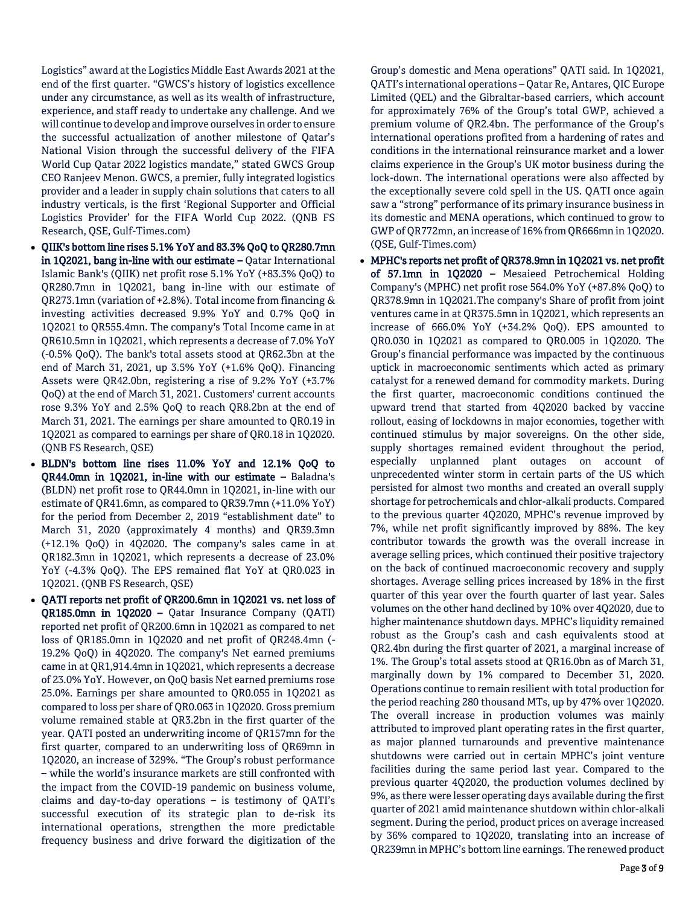Logistics" award at the Logistics Middle East Awards 2021 at the end of the first quarter. "GWCS's history of logistics excellence under any circumstance, as well as its wealth of infrastructure, experience, and staff ready to undertake any challenge. And we will continue to develop and improve ourselves in order to ensure the successful actualization of another milestone of Qatar's National Vision through the successful delivery of the FIFA World Cup Qatar 2022 logistics mandate," stated GWCS Group CEO Ranjeev Menon. GWCS, a premier, fully integrated logistics provider and a leader in supply chain solutions that caters to all industry verticals, is the first 'Regional Supporter and Official Logistics Provider' for the FIFA World Cup 2022. (QNB FS Research, QSE, Gulf-Times.com)

- QIIK's bottom line rises 5.1% YoY and 83.3% QoQ to QR280.7mn in 1Q2021, bang in-line with our estimate – Qatar International Islamic Bank's (QIIK) net profit rose 5.1% YoY (+83.3% QoQ) to QR280.7mn in 1Q2021, bang in-line with our estimate of QR273.1mn (variation of +2.8%). Total income from financing & investing activities decreased 9.9% YoY and 0.7% QoQ in 1Q2021 to QR555.4mn. The company's Total Income came in at QR610.5mn in 1Q2021, which represents a decrease of 7.0% YoY (-0.5% QoQ). The bank's total assets stood at QR62.3bn at the end of March 31, 2021, up 3.5% YoY (+1.6% QoQ). Financing Assets were QR42.0bn, registering a rise of 9.2% YoY (+3.7% QoQ) at the end of March 31, 2021. Customers' current accounts rose 9.3% YoY and 2.5% QoQ to reach QR8.2bn at the end of March 31, 2021. The earnings per share amounted to QR0.19 in 1Q2021 as compared to earnings per share of QR0.18 in 1Q2020. (QNB FS Research, QSE)
- BLDN's bottom line rises 11.0% YoY and 12.1% QoQ to QR44.0mn in 1Q2021, in-line with our estimate – Baladna's (BLDN) net profit rose to QR44.0mn in 1Q2021, in-line with our estimate of QR41.6mn, as compared to QR39.7mn (+11.0% YoY) for the period from December 2, 2019 "establishment date" to March 31, 2020 (approximately 4 months) and QR39.3mn (+12.1% QoQ) in 4Q2020. The company's sales came in at QR182.3mn in 1Q2021, which represents a decrease of 23.0% YoY (-4.3% QoQ). The EPS remained flat YoY at QR0.023 in 1Q2021. (QNB FS Research, QSE)
- QATI reports net profit of QR200.6mn in 1Q2021 vs. net loss of QR185.0mn in 1Q2020 – Qatar Insurance Company (QATI) reported net profit of QR200.6mn in 1Q2021 as compared to net loss of QR185.0mn in 1Q2020 and net profit of QR248.4mn (- 19.2% QoQ) in 4Q2020. The company's Net earned premiums came in at QR1,914.4mn in 1Q2021, which represents a decrease of 23.0% YoY. However, on QoQ basis Net earned premiums rose 25.0%. Earnings per share amounted to QR0.055 in 1Q2021 as compared to loss per share of QR0.063 in 1Q2020. Gross premium volume remained stable at QR3.2bn in the first quarter of the year. QATI posted an underwriting income of QR157mn for the first quarter, compared to an underwriting loss of QR69mn in 1Q2020, an increase of 329%. "The Group's robust performance – while the world's insurance markets are still confronted with the impact from the COVID-19 pandemic on business volume, claims and day-to-day operations – is testimony of QATI's successful execution of its strategic plan to de-risk its international operations, strengthen the more predictable frequency business and drive forward the digitization of the

Group's domestic and Mena operations" QATI said. In 1Q2021, QATI's international operations – Qatar Re, Antares, QIC Europe Limited (QEL) and the Gibraltar-based carriers, which account for approximately 76% of the Group's total GWP, achieved a premium volume of QR2.4bn. The performance of the Group's international operations profited from a hardening of rates and conditions in the international reinsurance market and a lower claims experience in the Group's UK motor business during the lock-down. The international operations were also affected by the exceptionally severe cold spell in the US. QATI once again saw a "strong" performance of its primary insurance business in its domestic and MENA operations, which continued to grow to GWP of QR772mn, an increase of 16% from QR666mn in 1Q2020. (QSE, Gulf-Times.com)

 MPHC's reports net profit of QR378.9mn in 1Q2021 vs. net profit of 57.1mn in 1Q2020 – Mesaieed Petrochemical Holding Company's (MPHC) net profit rose 564.0% YoY (+87.8% QoQ) to QR378.9mn in 1Q2021.The company's Share of profit from joint ventures came in at QR375.5mn in 1Q2021, which represents an increase of 666.0% YoY (+34.2% QoQ). EPS amounted to QR0.030 in 1Q2021 as compared to QR0.005 in 1Q2020. The Group's financial performance was impacted by the continuous uptick in macroeconomic sentiments which acted as primary catalyst for a renewed demand for commodity markets. During the first quarter, macroeconomic conditions continued the upward trend that started from 4Q2020 backed by vaccine rollout, easing of lockdowns in major economies, together with continued stimulus by major sovereigns. On the other side, supply shortages remained evident throughout the period, especially unplanned plant outages on account of unprecedented winter storm in certain parts of the US which persisted for almost two months and created an overall supply shortage for petrochemicals and chlor-alkali products. Compared to the previous quarter 4Q2020, MPHC's revenue improved by 7%, while net profit significantly improved by 88%. The key contributor towards the growth was the overall increase in average selling prices, which continued their positive trajectory on the back of continued macroeconomic recovery and supply shortages. Average selling prices increased by 18% in the first quarter of this year over the fourth quarter of last year. Sales volumes on the other hand declined by 10% over 4Q2020, due to higher maintenance shutdown days. MPHC's liquidity remained robust as the Group's cash and cash equivalents stood at QR2.4bn during the first quarter of 2021, a marginal increase of 1%. The Group's total assets stood at QR16.0bn as of March 31, marginally down by 1% compared to December 31, 2020. Operations continue to remain resilient with total production for the period reaching 280 thousand MTs, up by 47% over 1Q2020. The overall increase in production volumes was mainly attributed to improved plant operating rates in the first quarter, as major planned turnarounds and preventive maintenance shutdowns were carried out in certain MPHC's joint venture facilities during the same period last year. Compared to the previous quarter 4Q2020, the production volumes declined by 9%, as there were lesser operating days available during the first quarter of 2021 amid maintenance shutdown within chlor-alkali segment. During the period, product prices on average increased by 36% compared to 1Q2020, translating into an increase of QR239mn in MPHC's bottom line earnings. The renewed product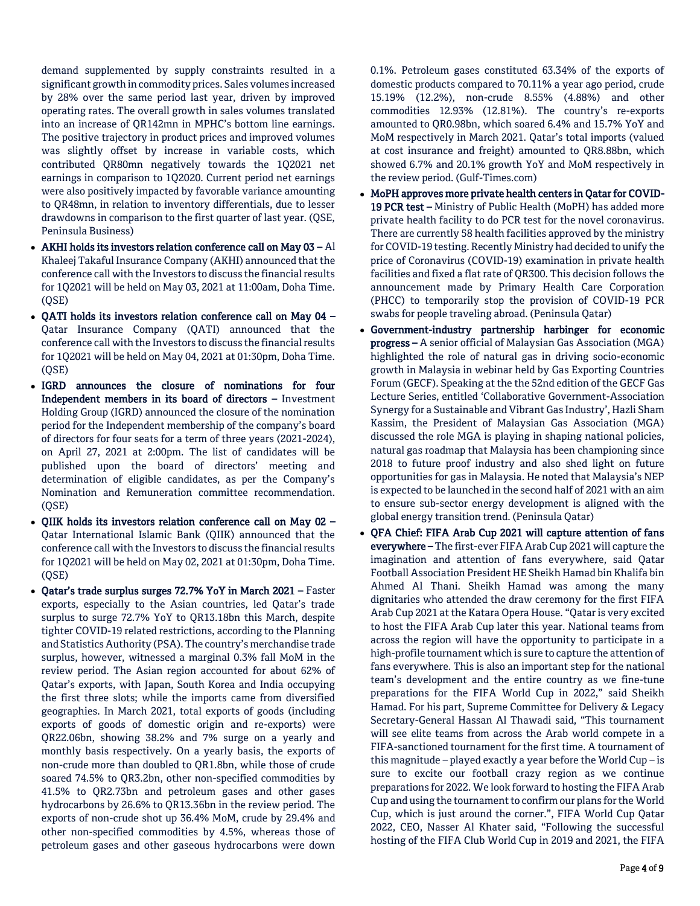demand supplemented by supply constraints resulted in a significant growth in commodity prices. Sales volumes increased by 28% over the same period last year, driven by improved operating rates. The overall growth in sales volumes translated into an increase of QR142mn in MPHC's bottom line earnings. The positive trajectory in product prices and improved volumes was slightly offset by increase in variable costs, which contributed QR80mn negatively towards the 1Q2021 net earnings in comparison to 1Q2020. Current period net earnings were also positively impacted by favorable variance amounting to QR48mn, in relation to inventory differentials, due to lesser drawdowns in comparison to the first quarter of last year. (QSE, Peninsula Business)

- AKHI holds its investors relation conference call on May 03 Al Khaleej Takaful Insurance Company (AKHI) announced that the conference call with the Investors to discuss the financial results for 1Q2021 will be held on May 03, 2021 at 11:00am, Doha Time. (QSE)
- QATI holds its investors relation conference call on May 04 Qatar Insurance Company (QATI) announced that the conference call with the Investors to discuss the financial results for 1Q2021 will be held on May 04, 2021 at 01:30pm, Doha Time. (QSE)
- IGRD announces the closure of nominations for four Independent members in its board of directors – Investment Holding Group (IGRD) announced the closure of the nomination period for the Independent membership of the company's board of directors for four seats for a term of three years (2021-2024), on April 27, 2021 at 2:00pm. The list of candidates will be published upon the board of directors' meeting and determination of eligible candidates, as per the Company's Nomination and Remuneration committee recommendation. (QSE)
- QIIK holds its investors relation conference call on May 02 Qatar International Islamic Bank (QIIK) announced that the conference call with the Investors to discuss the financial results for 1Q2021 will be held on May 02, 2021 at 01:30pm, Doha Time. (QSE)
- Qatar's trade surplus surges 72.7% YoY in March 2021 Faster exports, especially to the Asian countries, led Qatar's trade surplus to surge 72.7% YoY to QR13.18bn this March, despite tighter COVID-19 related restrictions, according to the Planning and Statistics Authority (PSA). The country's merchandise trade surplus, however, witnessed a marginal 0.3% fall MoM in the review period. The Asian region accounted for about 62% of Qatar's exports, with Japan, South Korea and India occupying the first three slots; while the imports came from diversified geographies. In March 2021, total exports of goods (including exports of goods of domestic origin and re-exports) were QR22.06bn, showing 38.2% and 7% surge on a yearly and monthly basis respectively. On a yearly basis, the exports of non-crude more than doubled to QR1.8bn, while those of crude soared 74.5% to QR3.2bn, other non-specified commodities by 41.5% to QR2.73bn and petroleum gases and other gases hydrocarbons by 26.6% to QR13.36bn in the review period. The exports of non-crude shot up 36.4% MoM, crude by 29.4% and other non-specified commodities by 4.5%, whereas those of petroleum gases and other gaseous hydrocarbons were down

0.1%. Petroleum gases constituted 63.34% of the exports of domestic products compared to 70.11% a year ago period, crude 15.19% (12.2%), non-crude 8.55% (4.88%) and other commodities 12.93% (12.81%). The country's re-exports amounted to QR0.98bn, which soared 6.4% and 15.7% YoY and MoM respectively in March 2021. Qatar's total imports (valued at cost insurance and freight) amounted to QR8.88bn, which showed 6.7% and 20.1% growth YoY and MoM respectively in the review period. (Gulf-Times.com)

- MoPH approves more private health centers in Qatar for COVID-19 PCR test – Ministry of Public Health (MoPH) has added more private health facility to do PCR test for the novel coronavirus. There are currently 58 health facilities approved by the ministry for COVID-19 testing. Recently Ministry had decided to unify the price of Coronavirus (COVID-19) examination in private health facilities and fixed a flat rate of QR300. This decision follows the announcement made by Primary Health Care Corporation (PHCC) to temporarily stop the provision of COVID-19 PCR swabs for people traveling abroad. (Peninsula Qatar)
- Government-industry partnership harbinger for economic progress – A senior official of Malaysian Gas Association (MGA) highlighted the role of natural gas in driving socio-economic growth in Malaysia in webinar held by Gas Exporting Countries Forum (GECF). Speaking at the the 52nd edition of the GECF Gas Lecture Series, entitled 'Collaborative Government-Association Synergy for a Sustainable and Vibrant Gas Industry', Hazli Sham Kassim, the President of Malaysian Gas Association (MGA) discussed the role MGA is playing in shaping national policies, natural gas roadmap that Malaysia has been championing since 2018 to future proof industry and also shed light on future opportunities for gas in Malaysia. He noted that Malaysia's NEP is expected to be launched in the second half of 2021 with an aim to ensure sub-sector energy development is aligned with the global energy transition trend. (Peninsula Qatar)
- QFA Chief: FIFA Arab Cup 2021 will capture attention of fans everywhere – The first-ever FIFA Arab Cup 2021 will capture the imagination and attention of fans everywhere, said Qatar Football Association President HE Sheikh Hamad bin Khalifa bin Ahmed Al Thani. Sheikh Hamad was among the many dignitaries who attended the draw ceremony for the first FIFA Arab Cup 2021 at the Katara Opera House. "Qatar is very excited to host the FIFA Arab Cup later this year. National teams from across the region will have the opportunity to participate in a high-profile tournament which is sure to capture the attention of fans everywhere. This is also an important step for the national team's development and the entire country as we fine-tune preparations for the FIFA World Cup in 2022," said Sheikh Hamad. For his part, Supreme Committee for Delivery & Legacy Secretary-General Hassan Al Thawadi said, "This tournament will see elite teams from across the Arab world compete in a FIFA-sanctioned tournament for the first time. A tournament of this magnitude – played exactly a year before the World Cup – is sure to excite our football crazy region as we continue preparations for 2022. We look forward to hosting the FIFA Arab Cup and using the tournament to confirm our plans for the World Cup, which is just around the corner.", FIFA World Cup Qatar 2022, CEO, Nasser Al Khater said, "Following the successful hosting of the FIFA Club World Cup in 2019 and 2021, the FIFA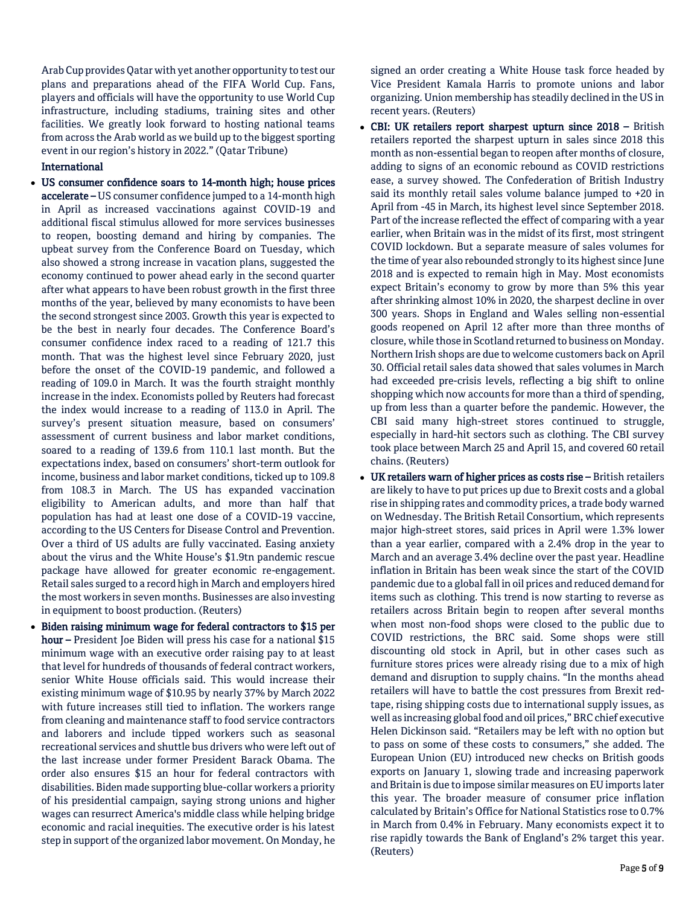Arab Cup provides Qatar with yet another opportunity to test our plans and preparations ahead of the FIFA World Cup. Fans, players and officials will have the opportunity to use World Cup infrastructure, including stadiums, training sites and other facilities. We greatly look forward to hosting national teams from across the Arab world as we build up to the biggest sporting event in our region's history in 2022." (Qatar Tribune)

# International

- US consumer confidence soars to 14-month high; house prices accelerate – US consumer confidence jumped to a 14-month high in April as increased vaccinations against COVID-19 and additional fiscal stimulus allowed for more services businesses to reopen, boosting demand and hiring by companies. The upbeat survey from the Conference Board on Tuesday, which also showed a strong increase in vacation plans, suggested the economy continued to power ahead early in the second quarter after what appears to have been robust growth in the first three months of the year, believed by many economists to have been the second strongest since 2003. Growth this year is expected to be the best in nearly four decades. The Conference Board's consumer confidence index raced to a reading of 121.7 this month. That was the highest level since February 2020, just before the onset of the COVID-19 pandemic, and followed a reading of 109.0 in March. It was the fourth straight monthly increase in the index. Economists polled by Reuters had forecast the index would increase to a reading of 113.0 in April. The survey's present situation measure, based on consumers' assessment of current business and labor market conditions, soared to a reading of 139.6 from 110.1 last month. But the expectations index, based on consumers' short-term outlook for income, business and labor market conditions, ticked up to 109.8 from 108.3 in March. The US has expanded vaccination eligibility to American adults, and more than half that population has had at least one dose of a COVID-19 vaccine, according to the US Centers for Disease Control and Prevention. Over a third of US adults are fully vaccinated. Easing anxiety about the virus and the White House's \$1.9tn pandemic rescue package have allowed for greater economic re-engagement. Retail sales surged to a record high in March and employers hired the most workers in seven months. Businesses are also investing in equipment to boost production. (Reuters)
- Biden raising minimum wage for federal contractors to \$15 per hour – President Joe Biden will press his case for a national \$15 minimum wage with an executive order raising pay to at least that level for hundreds of thousands of federal contract workers, senior White House officials said. This would increase their existing minimum wage of \$10.95 by nearly 37% by March 2022 with future increases still tied to inflation. The workers range from cleaning and maintenance staff to food service contractors and laborers and include tipped workers such as seasonal recreational services and shuttle bus drivers who were left out of the last increase under former President Barack Obama. The order also ensures \$15 an hour for federal contractors with disabilities. Biden made supporting blue-collar workers a priority of his presidential campaign, saying strong unions and higher wages can resurrect America's middle class while helping bridge economic and racial inequities. The executive order is his latest step in support of the organized labor movement. On Monday, he

signed an order creating a White House task force headed by Vice President Kamala Harris to promote unions and labor organizing. Union membership has steadily declined in the US in recent years. (Reuters)

- CBI: UK retailers report sharpest upturn since 2018 British retailers reported the sharpest upturn in sales since 2018 this month as non-essential began to reopen after months of closure, adding to signs of an economic rebound as COVID restrictions ease, a survey showed. The Confederation of British Industry said its monthly retail sales volume balance jumped to +20 in April from -45 in March, its highest level since September 2018. Part of the increase reflected the effect of comparing with a year earlier, when Britain was in the midst of its first, most stringent COVID lockdown. But a separate measure of sales volumes for the time of year also rebounded strongly to its highest since June 2018 and is expected to remain high in May. Most economists expect Britain's economy to grow by more than 5% this year after shrinking almost 10% in 2020, the sharpest decline in over 300 years. Shops in England and Wales selling non-essential goods reopened on April 12 after more than three months of closure, while those in Scotland returned to business on Monday. Northern Irish shops are due to welcome customers back on April 30. Official retail sales data showed that sales volumes in March had exceeded pre-crisis levels, reflecting a big shift to online shopping which now accounts for more than a third of spending, up from less than a quarter before the pandemic. However, the CBI said many high-street stores continued to struggle, especially in hard-hit sectors such as clothing. The CBI survey took place between March 25 and April 15, and covered 60 retail chains. (Reuters)
- UK retailers warn of higher prices as costs rise British retailers are likely to have to put prices up due to Brexit costs and a global rise in shipping rates and commodity prices, a trade body warned on Wednesday. The British Retail Consortium, which represents major high-street stores, said prices in April were 1.3% lower than a year earlier, compared with a 2.4% drop in the year to March and an average 3.4% decline over the past year. Headline inflation in Britain has been weak since the start of the COVID pandemic due to a global fall in oil prices and reduced demand for items such as clothing. This trend is now starting to reverse as retailers across Britain begin to reopen after several months when most non-food shops were closed to the public due to COVID restrictions, the BRC said. Some shops were still discounting old stock in April, but in other cases such as furniture stores prices were already rising due to a mix of high demand and disruption to supply chains. "In the months ahead retailers will have to battle the cost pressures from Brexit redtape, rising shipping costs due to international supply issues, as well as increasing global food and oil prices," BRC chief executive Helen Dickinson said. "Retailers may be left with no option but to pass on some of these costs to consumers," she added. The European Union (EU) introduced new checks on British goods exports on January 1, slowing trade and increasing paperwork and Britain is due to impose similar measures on EU imports later this year. The broader measure of consumer price inflation calculated by Britain's Office for National Statistics rose to 0.7% in March from 0.4% in February. Many economists expect it to rise rapidly towards the Bank of England's 2% target this year. (Reuters)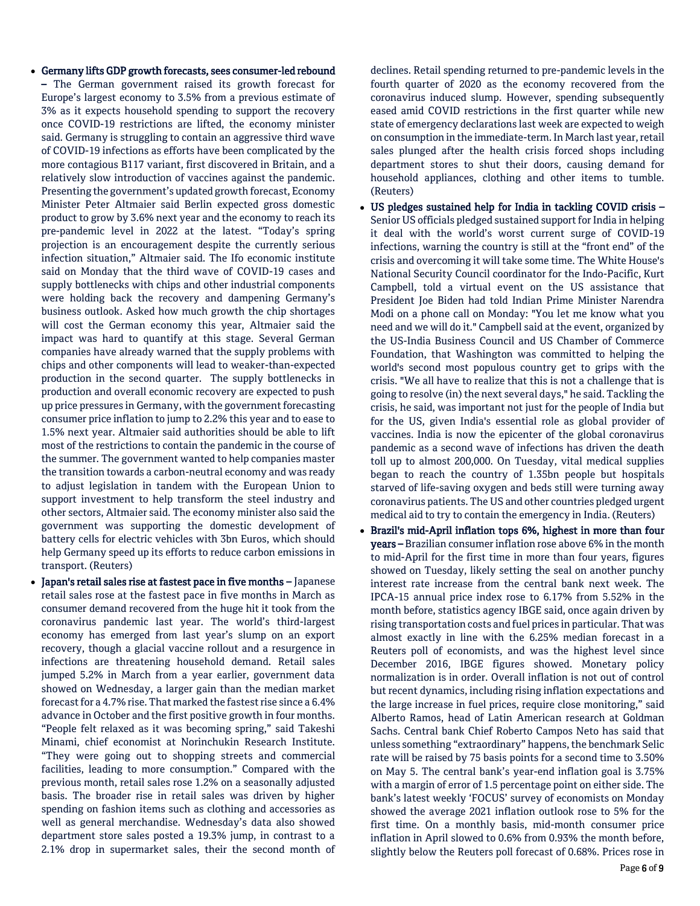- Germany lifts GDP growth forecasts, sees consumer-led rebound – The German government raised its growth forecast for Europe's largest economy to 3.5% from a previous estimate of 3% as it expects household spending to support the recovery once COVID-19 restrictions are lifted, the economy minister said. Germany is struggling to contain an aggressive third wave of COVID-19 infections as efforts have been complicated by the more contagious B117 variant, first discovered in Britain, and a relatively slow introduction of vaccines against the pandemic. Presenting the government's updated growth forecast, Economy Minister Peter Altmaier said Berlin expected gross domestic product to grow by 3.6% next year and the economy to reach its pre-pandemic level in 2022 at the latest. "Today's spring projection is an encouragement despite the currently serious infection situation," Altmaier said. The Ifo economic institute said on Monday that the third wave of COVID-19 cases and supply bottlenecks with chips and other industrial components were holding back the recovery and dampening Germany's business outlook. Asked how much growth the chip shortages will cost the German economy this year, Altmaier said the impact was hard to quantify at this stage. Several German companies have already warned that the supply problems with chips and other components will lead to weaker-than-expected production in the second quarter. The supply bottlenecks in production and overall economic recovery are expected to push up price pressures in Germany, with the government forecasting consumer price inflation to jump to 2.2% this year and to ease to 1.5% next year. Altmaier said authorities should be able to lift most of the restrictions to contain the pandemic in the course of the summer. The government wanted to help companies master the transition towards a carbon-neutral economy and was ready to adjust legislation in tandem with the European Union to support investment to help transform the steel industry and other sectors, Altmaier said. The economy minister also said the government was supporting the domestic development of battery cells for electric vehicles with 3bn Euros, which should help Germany speed up its efforts to reduce carbon emissions in transport. (Reuters)
- Japan's retail sales rise at fastest pace in five months Japanese retail sales rose at the fastest pace in five months in March as consumer demand recovered from the huge hit it took from the coronavirus pandemic last year. The world's third-largest economy has emerged from last year's slump on an export recovery, though a glacial vaccine rollout and a resurgence in infections are threatening household demand. Retail sales jumped 5.2% in March from a year earlier, government data showed on Wednesday, a larger gain than the median market forecast for a 4.7% rise. That marked the fastest rise since a 6.4% advance in October and the first positive growth in four months. "People felt relaxed as it was becoming spring," said Takeshi Minami, chief economist at Norinchukin Research Institute. "They were going out to shopping streets and commercial facilities, leading to more consumption." Compared with the previous month, retail sales rose 1.2% on a seasonally adjusted basis. The broader rise in retail sales was driven by higher spending on fashion items such as clothing and accessories as well as general merchandise. Wednesday's data also showed department store sales posted a 19.3% jump, in contrast to a 2.1% drop in supermarket sales, their the second month of

declines. Retail spending returned to pre-pandemic levels in the fourth quarter of 2020 as the economy recovered from the coronavirus induced slump. However, spending subsequently eased amid COVID restrictions in the first quarter while new state of emergency declarations last week are expected to weigh on consumption in the immediate-term. In March last year, retail sales plunged after the health crisis forced shops including department stores to shut their doors, causing demand for household appliances, clothing and other items to tumble. (Reuters)

- US pledges sustained help for India in tackling COVID crisis Senior US officials pledged sustained support for India in helping it deal with the world's worst current surge of COVID-19 infections, warning the country is still at the "front end" of the crisis and overcoming it will take some time. The White House's National Security Council coordinator for the Indo-Pacific, Kurt Campbell, told a virtual event on the US assistance that President Joe Biden had told Indian Prime Minister Narendra Modi on a phone call on Monday: "You let me know what you need and we will do it." Campbell said at the event, organized by the US-India Business Council and US Chamber of Commerce Foundation, that Washington was committed to helping the world's second most populous country get to grips with the crisis. "We all have to realize that this is not a challenge that is going to resolve (in) the next several days," he said. Tackling the crisis, he said, was important not just for the people of India but for the US, given India's essential role as global provider of vaccines. India is now the epicenter of the global coronavirus pandemic as a second wave of infections has driven the death toll up to almost 200,000. On Tuesday, vital medical supplies began to reach the country of 1.35bn people but hospitals starved of life-saving oxygen and beds still were turning away coronavirus patients. The US and other countries pledged urgent medical aid to try to contain the emergency in India. (Reuters)
- Brazil's mid-April inflation tops 6%, highest in more than four years – Brazilian consumer inflation rose above 6% in the month to mid-April for the first time in more than four years, figures showed on Tuesday, likely setting the seal on another punchy interest rate increase from the central bank next week. The IPCA-15 annual price index rose to 6.17% from 5.52% in the month before, statistics agency IBGE said, once again driven by rising transportation costs and fuel prices in particular. That was almost exactly in line with the 6.25% median forecast in a Reuters poll of economists, and was the highest level since December 2016, IBGE figures showed. Monetary policy normalization is in order. Overall inflation is not out of control but recent dynamics, including rising inflation expectations and the large increase in fuel prices, require close monitoring," said Alberto Ramos, head of Latin American research at Goldman Sachs. Central bank Chief Roberto Campos Neto has said that unless something "extraordinary" happens, the benchmark Selic rate will be raised by 75 basis points for a second time to 3.50% on May 5. The central bank's year-end inflation goal is 3.75% with a margin of error of 1.5 percentage point on either side. The bank's latest weekly 'FOCUS' survey of economists on Monday showed the average 2021 inflation outlook rose to 5% for the first time. On a monthly basis, mid-month consumer price inflation in April slowed to 0.6% from 0.93% the month before, slightly below the Reuters poll forecast of 0.68%. Prices rose in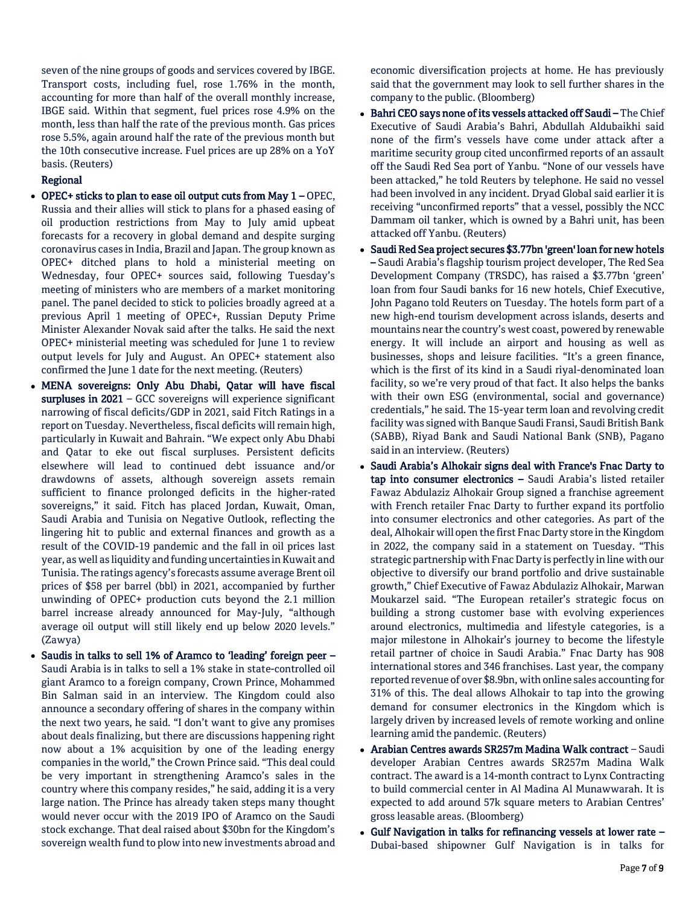seven of the nine groups of goods and services covered by IBGE. Transport costs, including fuel, rose 1.76% in the month, accounting for more than half of the overall monthly increase, IBGE said. Within that segment, fuel prices rose 4.9% on the month, less than half the rate of the previous month. Gas prices rose 5.5%, again around half the rate of the previous month but the 10th consecutive increase. Fuel prices are up 28% on a YoY basis. (Reuters)

### Regional

- $\bullet$  OPEC+ sticks to plan to ease oil output cuts from May  $1 -$  OPEC, Russia and their allies will stick to plans for a phased easing of oil production restrictions from May to July amid upbeat forecasts for a recovery in global demand and despite surging coronavirus cases in India, Brazil and Japan. The group known as OPEC+ ditched plans to hold a ministerial meeting on Wednesday, four OPEC+ sources said, following Tuesday's meeting of ministers who are members of a market monitoring panel. The panel decided to stick to policies broadly agreed at a previous April 1 meeting of OPEC+, Russian Deputy Prime Minister Alexander Novak said after the talks. He said the next OPEC+ ministerial meeting was scheduled for June 1 to review output levels for July and August. An OPEC+ statement also confirmed the June 1 date for the next meeting. (Reuters)
- MENA sovereigns: Only Abu Dhabi, Qatar will have fiscal surpluses in 2021 – GCC sovereigns will experience significant narrowing of fiscal deficits/GDP in 2021, said Fitch Ratings in a report on Tuesday. Nevertheless, fiscal deficits will remain high, particularly in Kuwait and Bahrain. "We expect only Abu Dhabi and Qatar to eke out fiscal surpluses. Persistent deficits elsewhere will lead to continued debt issuance and/or drawdowns of assets, although sovereign assets remain sufficient to finance prolonged deficits in the higher-rated sovereigns," it said. Fitch has placed Jordan, Kuwait, Oman, Saudi Arabia and Tunisia on Negative Outlook, reflecting the lingering hit to public and external finances and growth as a result of the COVID-19 pandemic and the fall in oil prices last year, as well as liquidity and funding uncertainties in Kuwait and Tunisia. The ratings agency's forecasts assume average Brent oil prices of \$58 per barrel (bbl) in 2021, accompanied by further unwinding of OPEC+ production cuts beyond the 2.1 million barrel increase already announced for May-July, "although average oil output will still likely end up below 2020 levels." (Zawya)
- Saudis in talks to sell 1% of Aramco to 'leading' foreign peer Saudi Arabia is in talks to sell a 1% stake in state-controlled oil giant Aramco to a foreign company, Crown Prince, Mohammed Bin Salman said in an interview. The Kingdom could also announce a secondary offering of shares in the company within the next two years, he said. "I don't want to give any promises about deals finalizing, but there are discussions happening right now about a 1% acquisition by one of the leading energy companies in the world," the Crown Prince said. "This deal could be very important in strengthening Aramco's sales in the country where this company resides," he said, adding it is a very large nation. The Prince has already taken steps many thought would never occur with the 2019 IPO of Aramco on the Saudi stock exchange. That deal raised about \$30bn for the Kingdom's sovereign wealth fund to plow into new investments abroad and

economic diversification projects at home. He has previously said that the government may look to sell further shares in the company to the public. (Bloomberg)

- Bahri CEO says none of its vessels attacked off Saudi The Chief Executive of Saudi Arabia's Bahri, Abdullah Aldubaikhi said none of the firm's vessels have come under attack after a maritime security group cited unconfirmed reports of an assault off the Saudi Red Sea port of Yanbu. "None of our vessels have been attacked," he told Reuters by telephone. He said no vessel had been involved in any incident. Dryad Global said earlier it is receiving "unconfirmed reports" that a vessel, possibly the NCC Dammam oil tanker, which is owned by a Bahri unit, has been attacked off Yanbu. (Reuters)
- Saudi Red Sea project secures \$3.77bn 'green' loan for new hotels – Saudi Arabia's flagship tourism project developer, The Red Sea Development Company (TRSDC), has raised a \$3.77bn 'green' loan from four Saudi banks for 16 new hotels, Chief Executive, John Pagano told Reuters on Tuesday. The hotels form part of a new high-end tourism development across islands, deserts and mountains near the country's west coast, powered by renewable energy. It will include an airport and housing as well as businesses, shops and leisure facilities. "It's a green finance, which is the first of its kind in a Saudi riyal-denominated loan facility, so we're very proud of that fact. It also helps the banks with their own ESG (environmental, social and governance) credentials," he said. The 15-year term loan and revolving credit facility was signed with Banque Saudi Fransi, Saudi British Bank (SABB), Riyad Bank and Saudi National Bank (SNB), Pagano said in an interview. (Reuters)
- Saudi Arabia's Alhokair signs deal with France's Fnac Darty to tap into consumer electronics – Saudi Arabia's listed retailer Fawaz Abdulaziz Alhokair Group signed a franchise agreement with French retailer Fnac Darty to further expand its portfolio into consumer electronics and other categories. As part of the deal, Alhokair will open the first Fnac Darty store in the Kingdom in 2022, the company said in a statement on Tuesday. "This strategic partnership with Fnac Darty is perfectly in line with our objective to diversify our brand portfolio and drive sustainable growth," Chief Executive of Fawaz Abdulaziz Alhokair, Marwan Moukarzel said. "The European retailer's strategic focus on building a strong customer base with evolving experiences around electronics, multimedia and lifestyle categories, is a major milestone in Alhokair's journey to become the lifestyle retail partner of choice in Saudi Arabia." Fnac Darty has 908 international stores and 346 franchises. Last year, the company reported revenue of over \$8.9bn, with online sales accounting for 31% of this. The deal allows Alhokair to tap into the growing demand for consumer electronics in the Kingdom which is largely driven by increased levels of remote working and online learning amid the pandemic. (Reuters)
- Arabian Centres awards SR257m Madina Walk contract Saudi developer Arabian Centres awards SR257m Madina Walk contract. The award is a 14-month contract to Lynx Contracting to build commercial center in Al Madina Al Munawwarah. It is expected to add around 57k square meters to Arabian Centres' gross leasable areas. (Bloomberg)
- Gulf Navigation in talks for refinancing vessels at lower rate  $-$ Dubai-based shipowner Gulf Navigation is in talks for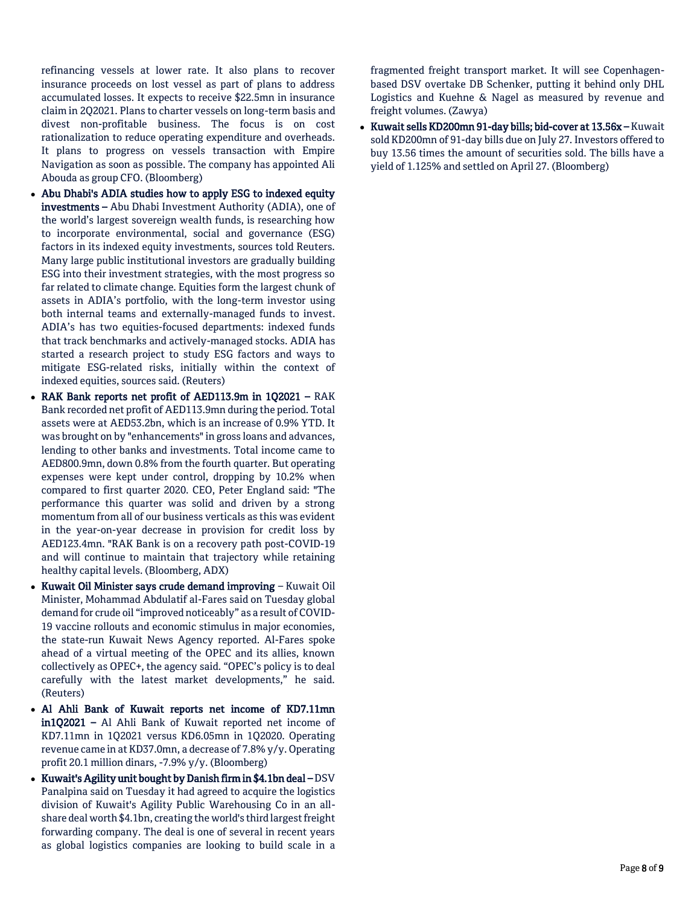refinancing vessels at lower rate. It also plans to recover insurance proceeds on lost vessel as part of plans to address accumulated losses. It expects to receive \$22.5mn in insurance claim in 2Q2021. Plans to charter vessels on long-term basis and divest non-profitable business. The focus is on cost rationalization to reduce operating expenditure and overheads. It plans to progress on vessels transaction with Empire Navigation as soon as possible. The company has appointed Ali Abouda as group CFO. (Bloomberg)

- Abu Dhabi's ADIA studies how to apply ESG to indexed equity investments – Abu Dhabi Investment Authority (ADIA), one of the world's largest sovereign wealth funds, is researching how to incorporate environmental, social and governance (ESG) factors in its indexed equity investments, sources told Reuters. Many large public institutional investors are gradually building ESG into their investment strategies, with the most progress so far related to climate change. Equities form the largest chunk of assets in ADIA's portfolio, with the long-term investor using both internal teams and externally-managed funds to invest. ADIA's has two equities-focused departments: indexed funds that track benchmarks and actively-managed stocks. ADIA has started a research project to study ESG factors and ways to mitigate ESG-related risks, initially within the context of indexed equities, sources said. (Reuters)
- RAK Bank reports net profit of AED113.9m in 1Q2021 RAK Bank recorded net profit of AED113.9mn during the period. Total assets were at AED53.2bn, which is an increase of 0.9% YTD. It was brought on by "enhancements" in gross loans and advances, lending to other banks and investments. Total income came to AED800.9mn, down 0.8% from the fourth quarter. But operating expenses were kept under control, dropping by 10.2% when compared to first quarter 2020. CEO, Peter England said: "The performance this quarter was solid and driven by a strong momentum from all of our business verticals as this was evident in the year-on-year decrease in provision for credit loss by AED123.4mn. "RAK Bank is on a recovery path post-COVID-19 and will continue to maintain that trajectory while retaining healthy capital levels. (Bloomberg, ADX)
- Kuwait Oil Minister says crude demand improving Kuwait Oil Minister, Mohammad Abdulatif al-Fares said on Tuesday global demand for crude oil "improved noticeably" as a result of COVID-19 vaccine rollouts and economic stimulus in major economies, the state-run Kuwait News Agency reported. Al-Fares spoke ahead of a virtual meeting of the OPEC and its allies, known collectively as OPEC+, the agency said. "OPEC's policy is to deal carefully with the latest market developments," he said. (Reuters)
- Al Ahli Bank of Kuwait reports net income of KD7.11mn in1Q2021 – Al Ahli Bank of Kuwait reported net income of KD7.11mn in 1Q2021 versus KD6.05mn in 1Q2020. Operating revenue came in at KD37.0mn, a decrease of 7.8% y/y. Operating profit 20.1 million dinars, -7.9% y/y. (Bloomberg)
- Kuwait's Agility unit bought by Danish firm in \$4.1bn deal DSV Panalpina said on Tuesday it had agreed to acquire the logistics division of Kuwait's Agility Public Warehousing Co in an allshare deal worth \$4.1bn, creating the world's third largest freight forwarding company. The deal is one of several in recent years as global logistics companies are looking to build scale in a

fragmented freight transport market. It will see Copenhagenbased DSV overtake DB Schenker, putting it behind only DHL Logistics and Kuehne & Nagel as measured by revenue and freight volumes. (Zawya)

• Kuwait sells KD200mn 91-day bills; bid-cover at 13.56x - Kuwait sold KD200mn of 91-day bills due on July 27. Investors offered to buy 13.56 times the amount of securities sold. The bills have a yield of 1.125% and settled on April 27. (Bloomberg)